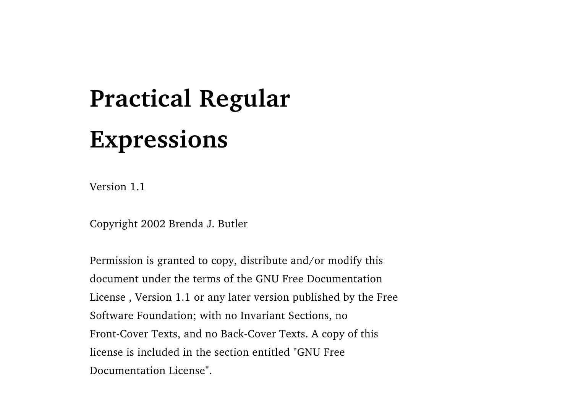### **Practical Regular Expressions**

Version 1.1

Copyright 2002 Brenda J. Butler

Permission is granted to copy, distribute and/or modify this document under the terms of the GNU Free DocumentationLicense , Version 1.1 or any later version published by the Free Software Foundation; with no Invariant Sections, no Front-Cover Texts, and no Back-Cover Texts. A copy of this license is included in the section entitled "GNU FreeDocumentation License".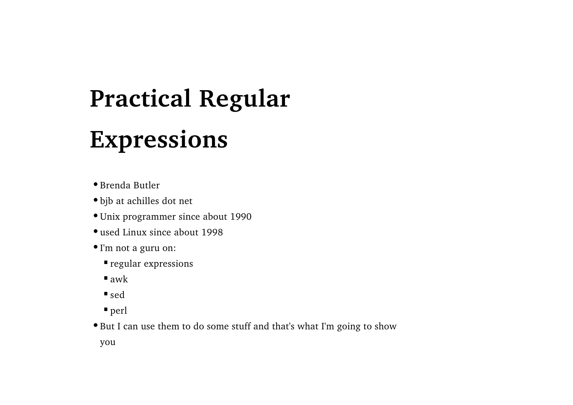# **Practical Regular**

#### **Expressions**

Brenda Butler

bjb at achilles dot net

Unix programmer since about 1990

used Linux since about 1998

I'm not a guru on:

regular expressions

 $\blacksquare$ awk

sed

perl

But I can use them to do some stuff and that's what I'm going to show

you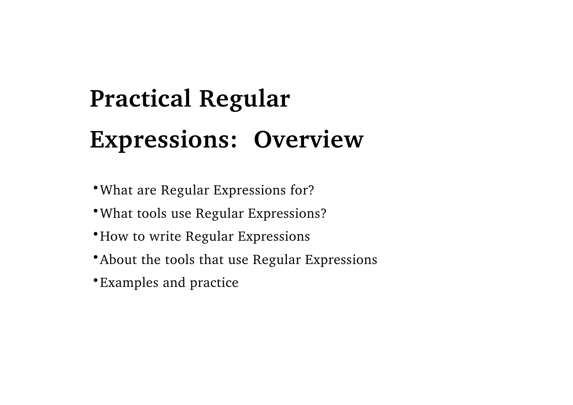#### **Practical Regular Expressions: Overview**

- What are Regular Expressions for?
- What tools use Regular Expressions?
- How to write Regular Expressions
- About the tools that use Regular Expressions
- Examples and practice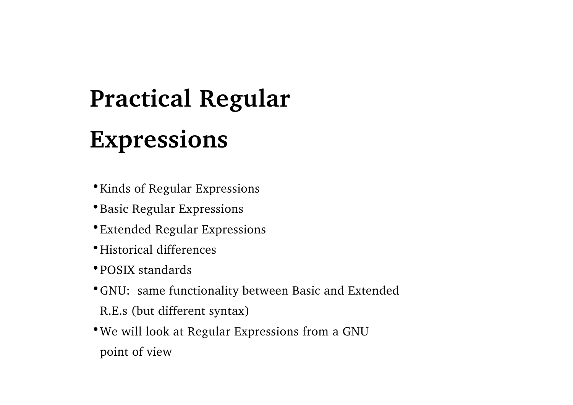### **Practical Regular Expressions**

- Kinds of Regular Expressions
- **\* Basic Regular Expressions**
- Extended Regular Expressions
- Historical differences
- POSIX standards
- GNU: same functionality between Basic and Extended
- R.E.s (but different syntax)
- We will look at Regular Expressions from a GNU
- point of view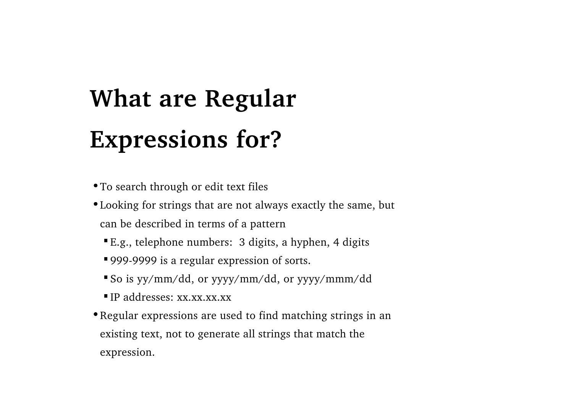### **What are Regular Expressions for?**

To search through or edit text files

- Looking for strings that are not always exactly the same, but can be described in terms of a pattern
	- E.g., telephone numbers: 3 digits, a hyphen, 4 digits
	- 999-9999 is a regular expression of sorts.
	- So is yy/mm/dd, or yyyy/mm/dd, or yyyy/mmm/dd
	- $\blacksquare$  IP addresses: xx.xx.xx.xx
- Regular expressions are used to find matching strings in an existing text, not to generate all strings that match the expression.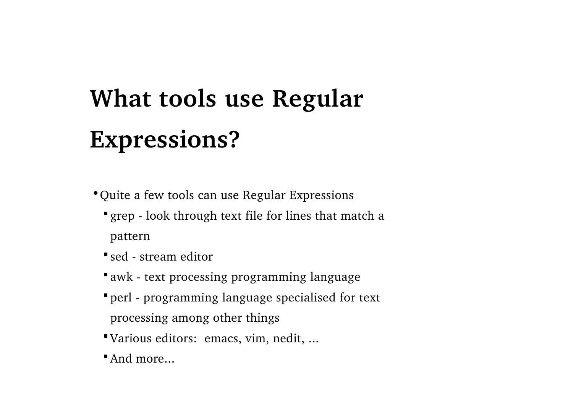### **What tools use Regular Expressions?**

Quite a few tools can use Regular Expressions

- grep look through text file for lines that match a pattern
- sed stream editor
- awk text processing programming language
- perl programming language specialised for text processing among other things
- Various editors: emacs, vim, nedit, ...
- And more...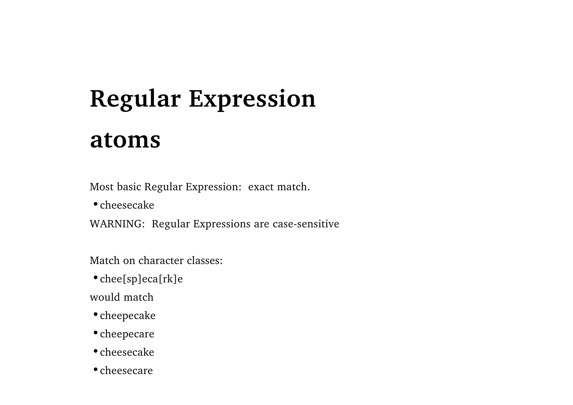Most basic Regular Expression: exact match.

cheesecake

WARNING: Regular Expressions are case-sensitive

Match on character classes:

chee[sp]eca[rk]e

would match

cheepecake

cheepecare

cheesecake

• cheesecare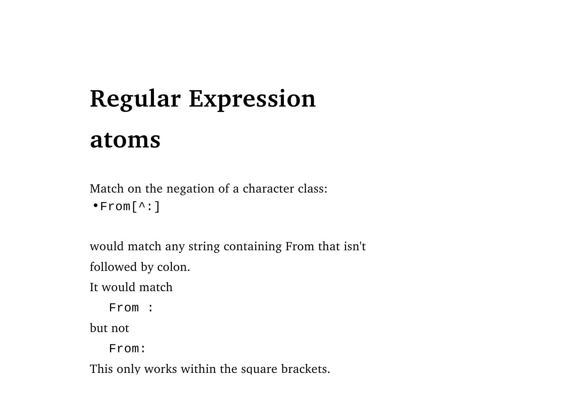Match on the negation of a character class:

From[^:]

would match any string containing From that isn't

followed by colon.

It would match

From :

but not

From:

This only works within the square brackets.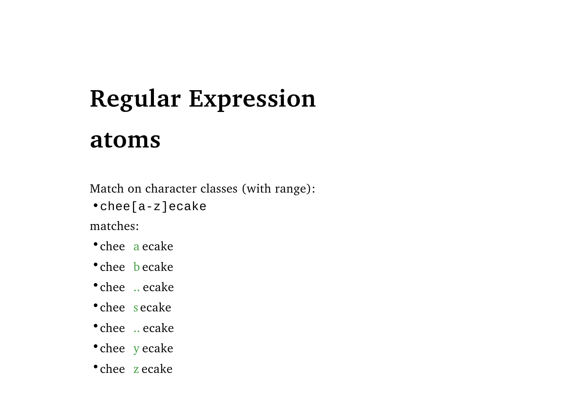Match on character classes (with range):

chee[a-z]ecake

matches:

chee) a ecake

chee becake

chee .. ecake

chee s ecake

chee .. ecake

chee y ecake

chee zecake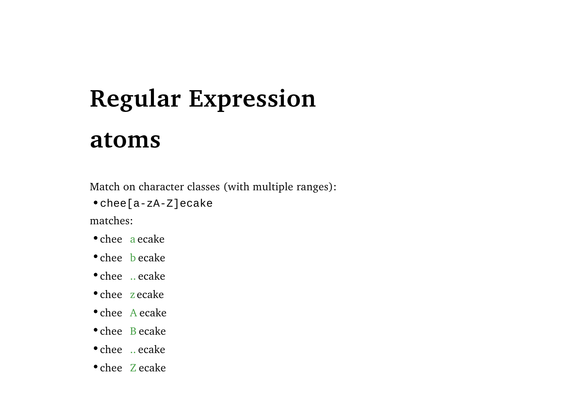Match on character classes (with multiple ranges):

chee[a-zA-Z]ecake

matches:

chee aecake

chee becake

chee .. ecake

chee zecake

chee Aecake

chee B ecake

chee .. ecake

chee Zecake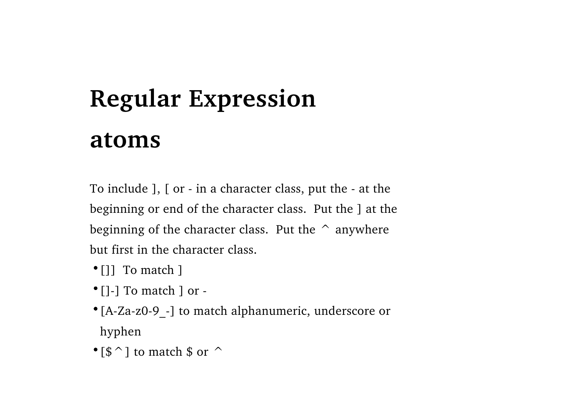To include ], [ or - in a character class, put the - at the beginning or end of the character class. Put the ] at the beginning of the character class. Put the  $\hat{ }$  anywhere but first in the character class.

- []] To match ]
- []-] To match ] or -
- [A-Za-z0-9 -] to match alphanumeric, underscore or hyphen
- $\cdot$  [ $\frac{\sin \theta}{\sin \theta}$ ] to match \$ or  $\frac{\sin \theta}{\sin \theta}$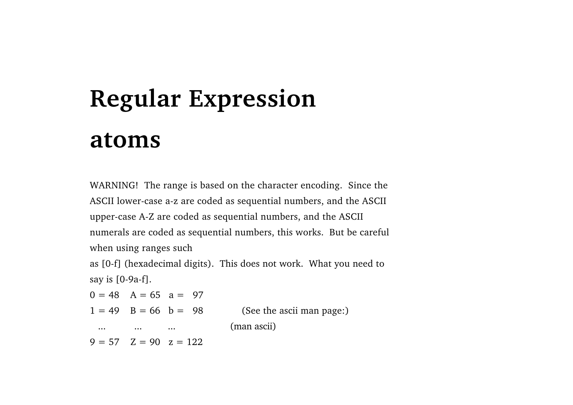WARNING! The range is based on the character encoding. Since the ASCII lower-case a-z are coded as sequential numbers, and the ASCII upper-case A-Z are coded as sequential numbers, and the ASCII numerals are coded as sequential numbers, this works. But be careful when using ranges such

as [0-f] (hexadecimal digits). This does not work. What you need to say is [0-9a-f].

 $0 = 48$  A = 65 a = 97  $1 = 49$  B = 66 b = 98 (See the ascii man page:) ... ... ... ... (man ascii)  $9 = 57$   $Z = 90$   $z = 122$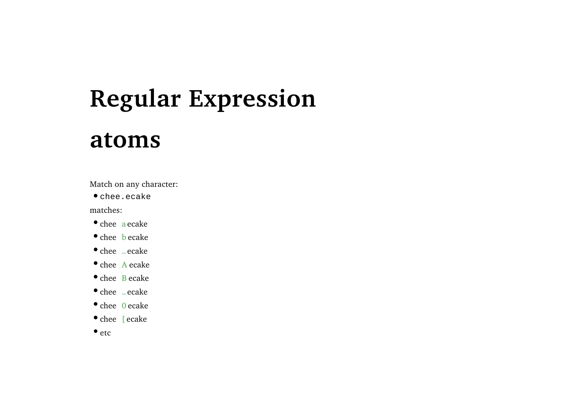## **Regular Expression**

#### **atoms**

Match on any character:

chee.ecake

matches:

- chee aecake
- chee becake
- chee .. ecake
- chee Aecake
- chee Becake
- chee .. ecake
- chee 0 ecake
- chee [ ecake
- $\bullet$  etc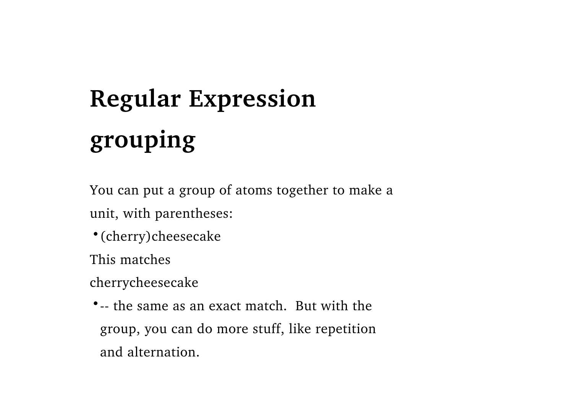### **Regular Expression grouping**

You can put a group of atoms together to make a unit, with parentheses:

(cherry)cheesecake

This matches

cherrycheesecake

-- the same as an exact match. But with thegroup, you can do more stuff, like repetition and alternation.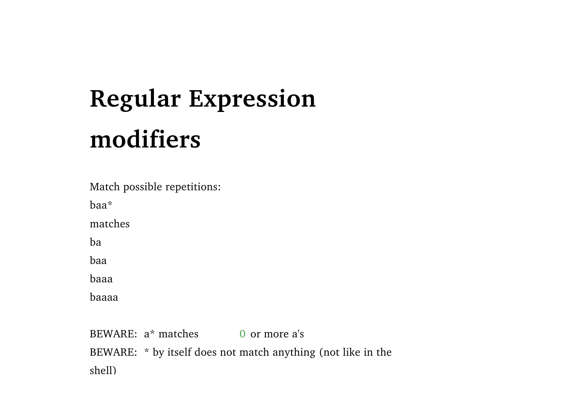Match possible repetitions:

baa\*

matches

ba

baa

baaa

baaaa

BEWARE: a\* matches0 or more a's BEWARE: \* by itself does not match anything (not like in the shell)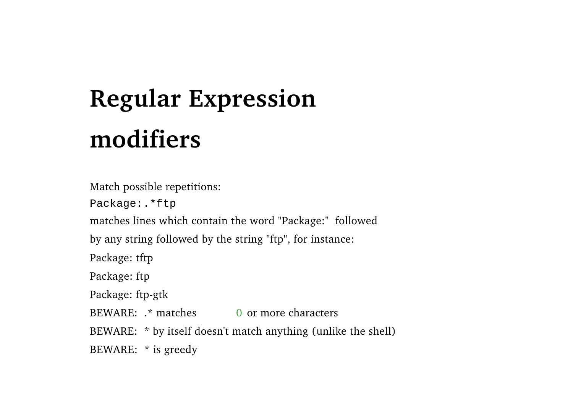Match possible repetitions: Package:.\*ftp matches lines which contain the word "Package:" followed by any string followed by the string "ftp", for instance: Package: tftp Package: ftp Package: ftp-gtk BEWARE: .\* matches0 or more characters BEWARE: \* by itself doesn't match anything (unlike the shell) BEWARE: \* is greedy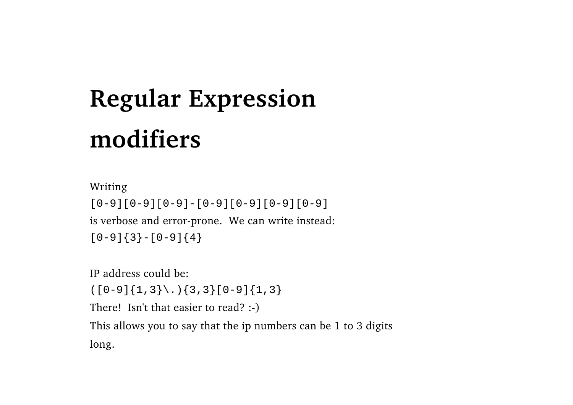Writing [0-9][0-9][0-9]-[0-9][0-9][0-9][0-9] is verbose and error-prone. We can write instead:  $[0-9]$  $\{3\}$  -  $[0-9]$  $\{4\}$ 

IP address could be:

 $([0-9]\{1,3\}\$ . $)$ {3,3}[0-9]{1,3}

There! Isn't that easier to read? :-)

This allows you to say that the ip numbers can be 1 to 3 digits long.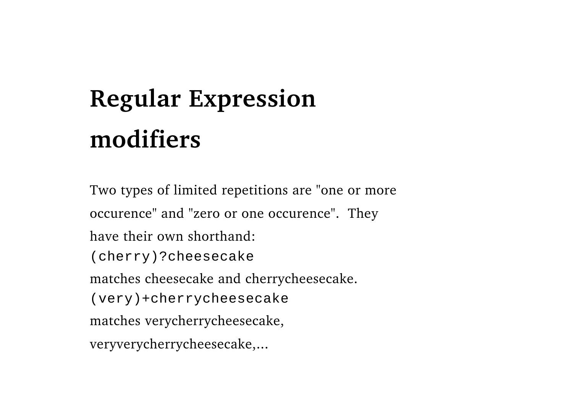Two types of limited repetitions are "one or more occurence" and "zero or one occurence". They have their own shorthand:(cherry)?cheesecake matches cheesecake and cherrycheesecake. (very)+cherrycheesecake matches verycherrycheesecake, veryverycherrycheesecake,...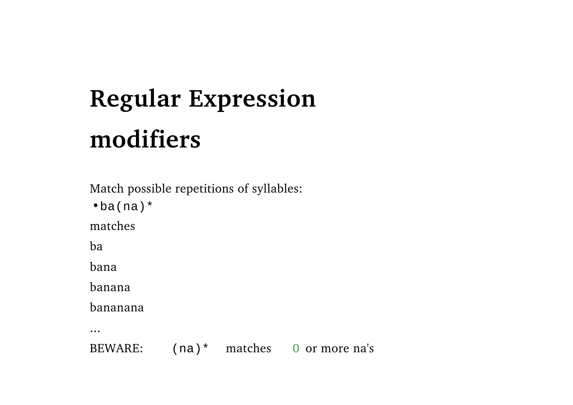Match possible repetitions of syllables:

 $\bullet$ ba(na)\*

matches

ba

bana

banana

bananana

...

BEWARE:(na)\* matches 0 or more na's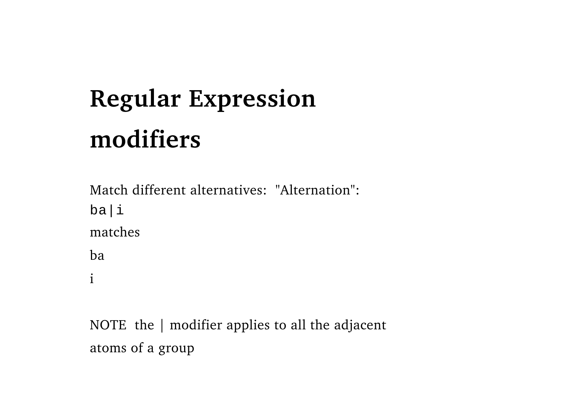Match different alternatives: "Alternation": ba|i matchesba i

NOTE the | modifier applies to all the adjacent atoms of a group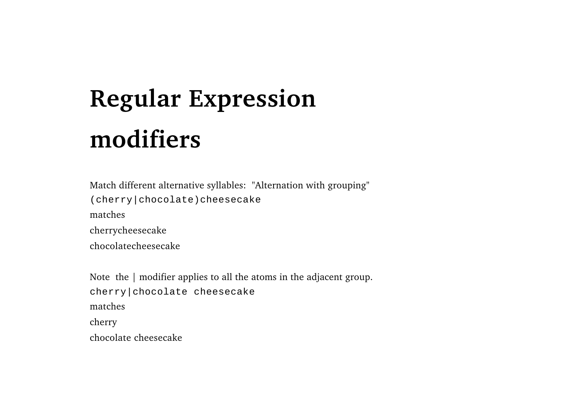Match different alternative syllables: "Alternation with grouping" (cherry|chocolate)cheesecake matchescherrycheesecake chocolatecheesecake

Note the | modifier applies to all the atoms in the adjacent group. cherry|chocolate cheesecake matchescherry chocolate cheesecake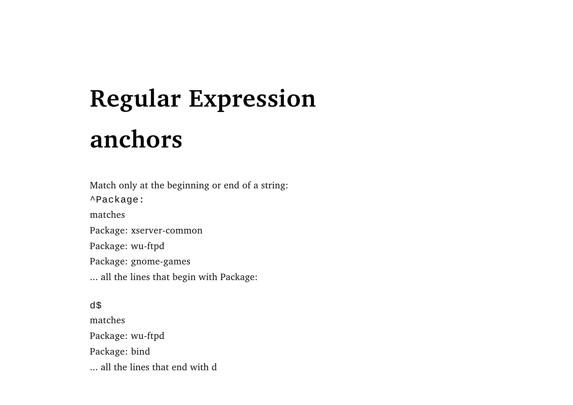### **Regular Expression anchors**

Match only at the beginning or end of a string: ^Package: matchesPackage: xserver-common Package: wu-ftpd Package: gnome-games ... all the lines that begin with Package:

d\$ matchesPackage: wu-ftpd Package: bind ... all the lines that end with d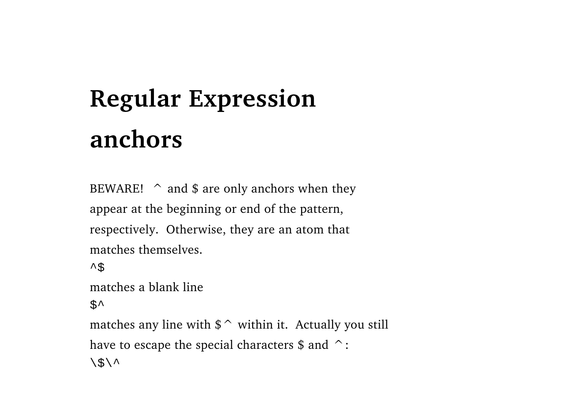### **Regular Expression anchors**

BEWARE!  $\hat{\ }$  and \$ are only anchors when they appear at the beginning or end of the pattern, respectively. Otherwise, they are an atom that matches themselves.

```
\sim \uparrow
```
matches a blank line

 $S^{\lambda}$ 

matches any line with  $\frac{1}{2}$  within it. Actually you still have to escape the special characters  $\frac{1}{2}$  and  $\frac{\frown}{\cdot}$ :  $\langle$ \$ $\rangle$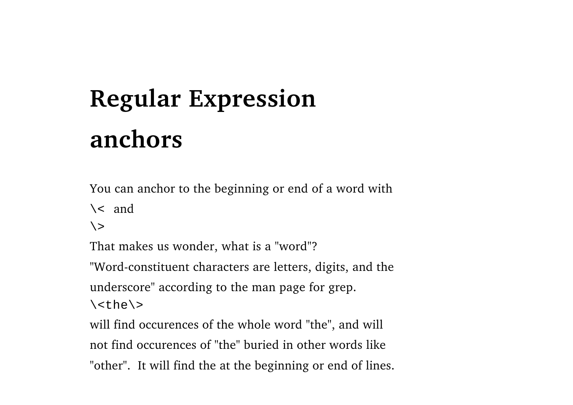### **Regular Expression anchors**

You can anchor to the beginning or end of a word with

 $\backslash$  < and

 $\langle \rangle$ 

That makes us wonder, what is a "word"?

"Word-constituent characters are letters, digits, and the

underscore" according to the man page for grep.

 $\langle$  <the $\rangle$ >

will find occurences of the whole word "the", and will not find occurences of "the" buried in other words like"other". It will find the at the beginning or end of lines.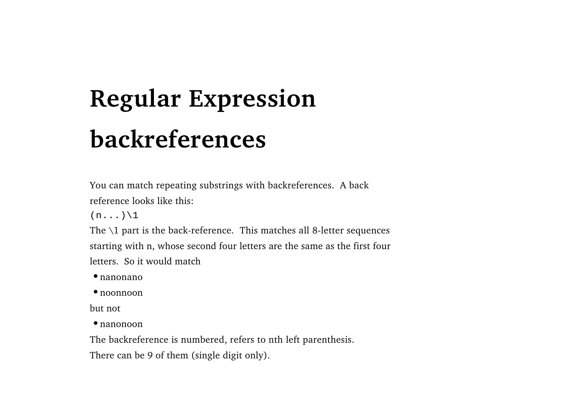### **Regular Expression backreferences**

You can match repeating substrings with backreferences. A back reference looks like this:

 $(n...)\backslash 1$ 

The  $\setminus$ 1 part is the back-reference. This matches all 8-letter sequences starting with n, whose second four letters are the same as the first four letters. So it would match

nanonano

noonnoon

but not

nanonoon

The backreference is numbered, refers to nth left parenthesis.

There can be 9 of them (single digit only).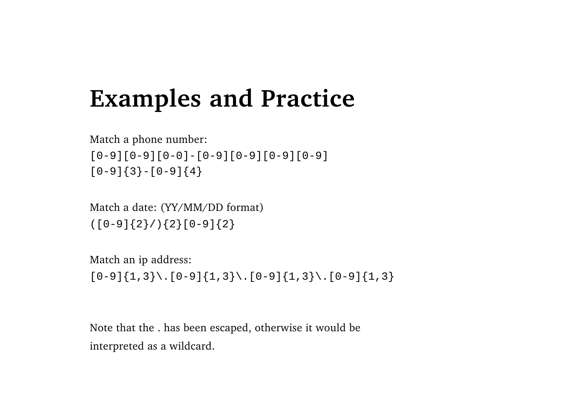#### **Examples and Practice**

Match a phone number: [0-9][0-9][0-0]-[0-9][0-9][0-9][0-9]  $[0-9](3)-[0-9](4)$ 

Match a date: (YY/MM/DD format)  $([0-9]{2}/)(2[0-9]{2}$ 

Match an ip address:

 $[0-9]{1,3}\.\ [0-9]{1,3}$ . $[0-9]{1,3}\.\ [0-9]{1,3}$ 

Note that the . has been escaped, otherwise it would be interpreted as a wildcard.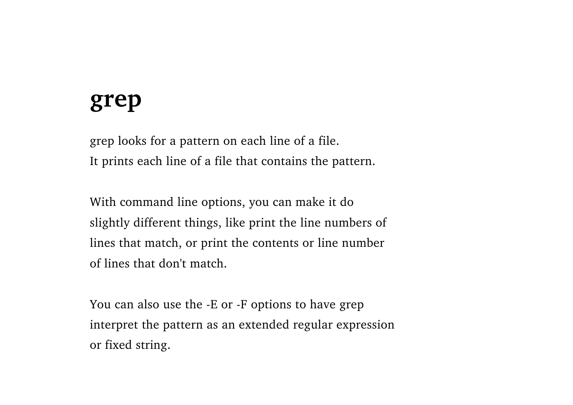#### **grep**

grep looks for a pattern on each line of a file. It prints each line of a file that contains the pattern.

With command line options, you can make it do slightly different things, like print the line numbers of lines that match, or print the contents or line number of lines that don't match.

You can also use the -E or -F options to have grep interpret the pattern as an extended regular expression or fixed string.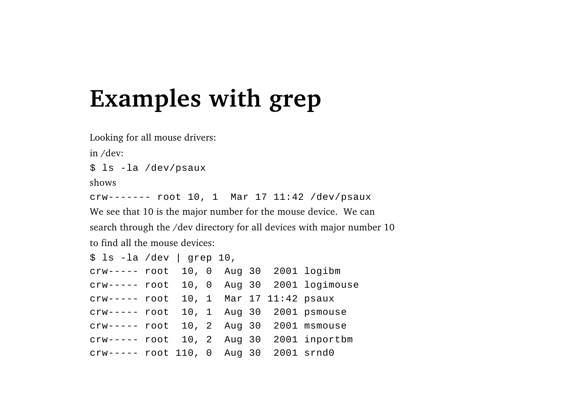#### **Examples with grep**

Looking for all mouse drivers:

in /dev:

\$ ls -la /dev/psaux

shows

crw------- root 10, 1 Mar 17 11:42 /dev/psaux

We see that 10 is the major number for the mouse device. We can search through the /dev directory for all devices with major number 10 to find all the mouse devices:

| $$ls - la / dev  $ grep 10,             |  |  |  |                                           |
|-----------------------------------------|--|--|--|-------------------------------------------|
| crw----- root 10, 0 Aug 30 2001 logibm  |  |  |  |                                           |
|                                         |  |  |  | crw----- root 10, 0 Aug 30 2001 logimouse |
| crw----- root 10, 1 Mar 17 11:42 psaux  |  |  |  |                                           |
| crw----- root 10, 1 Aug 30 2001 psmouse |  |  |  |                                           |
| crw----- root 10, 2 Aug 30 2001 msmouse |  |  |  |                                           |
|                                         |  |  |  | crw----- root 10, 2 Aug 30 2001 inportbm  |
| crw----- root 110, 0 Aug 30 2001 srnd0  |  |  |  |                                           |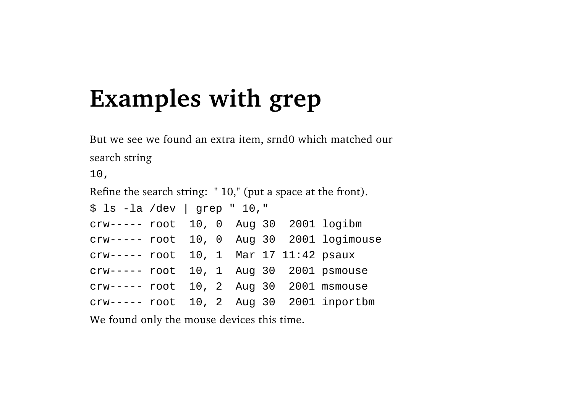#### **Examples with grep**

But we see we found an extra item, srnd0 which matched our search string

10, Refine the search string: " 10," (put a space at the front).  $$ 1s - la / dev | grey " 10,"$ crw----- root 10, 0 Aug 30 2001 logibm crw----- root 10, 0 Aug 30 2001 logimouse crw----- root 10, 1 Mar 17 11:42 psaux crw----- root 10, 1 Aug 30 2001 psmouse crw----- root 10, 2 Aug 30 2001 msmouse crw----- root 10, 2 Aug 30 2001 inportbm We found only the mouse devices this time.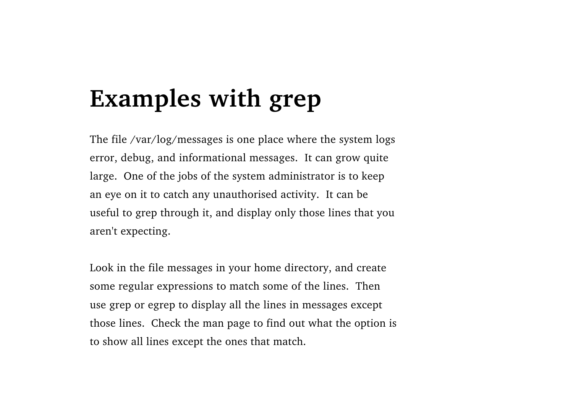#### **Examples with grep**

The file /var/log/messages is one place where the system logs error, debug, and informational messages. It can grow quite large. One of the jobs of the system administrator is to keep an eye on it to catch any unauthorised activity. It can be useful to grep through it, and display only those lines that you aren't expecting.

Look in the file messages in your home directory, and create some regular expressions to match some of the lines. Then use grep or egrep to display all the lines in messages except those lines. Check the man page to find out what the option is to show all lines except the ones that match.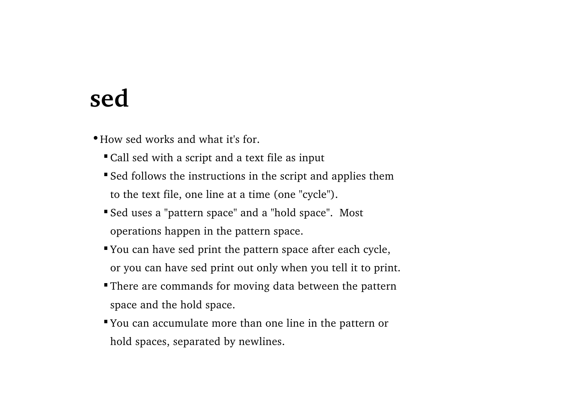#### **sed**

How sed works and what it's for.

- Call sed with a script and a text file as input
- Sed follows the instructions in the script and applies them to the text file, one line at a time (one "cycle").
- Sed uses a "pattern space" and a "hold space". Most operations happen in the pattern space.
- You can have sed print the pattern space after each cycle, or you can have sed print out only when you tell it to print.
- There are commands for moving data between the pattern space and the hold space.
- You can accumulate more than one line in the pattern or hold spaces, separated by newlines.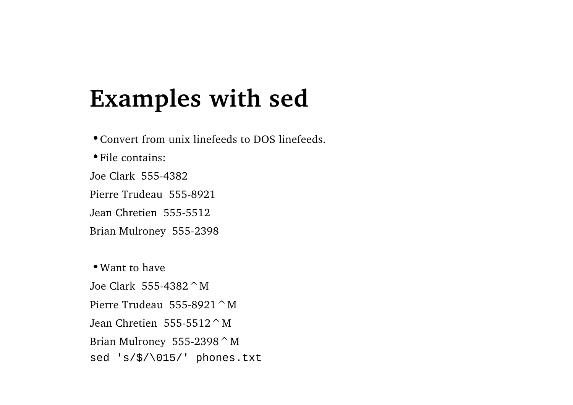Convert from unix linefeeds to DOS linefeeds.File contains:Joe Clark 555-4382 Pierre Trudeau 555-8921 Jean Chretien 555-5512Brian Mulroney 555-2398 Want to haveJoe Clark 555-4382^MPierre Trudeau 555-8921 ^ M

Jean Chretien  $555-5512$   $^{\circ}$  M Brian Mulroney 555-2398  $^{\circ}$  M sed 's/\$/\015/' phones.txt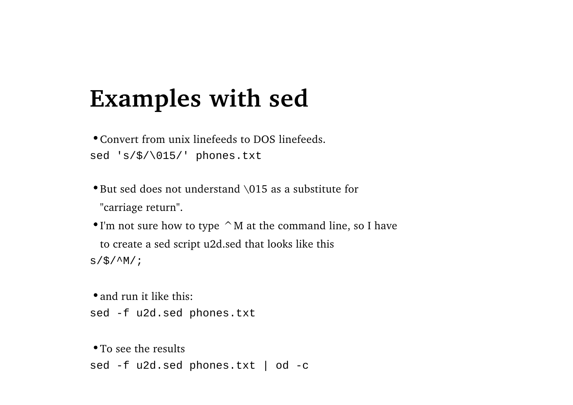Convert from unix linefeeds to DOS linefeeds.sed 's/\$/\015/' phones.txt

But sed does not understand \015 as a substitute for "carriage return".

 $\bullet$  I'm not sure how to type  $\land$  M at the command line, so I have to create a sed script u2d.sed that looks like this  $s/\frac{1}{2}/^N$ /;

• and run it like this: sed -f u2d.sed phones.txt

• To see the results sed -f u2d.sed phones.txt | od -c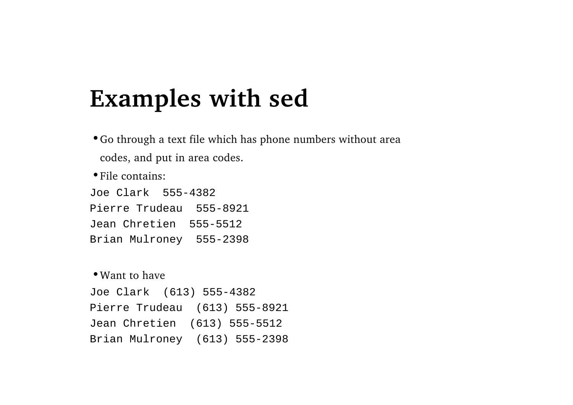Go through a text file which has phone numbers without area codes, and put in area codes.

File contains:

Joe Clark 555-4382Pierre Trudeau 555-8921Jean Chretien 555-5512Brian Mulroney 555-2398

#### Want to have

Joe Clark (613) 555-4382 Pierre Trudeau (613) 555-8921 Jean Chretien (613) 555-5512 Brian Mulroney (613) 555-2398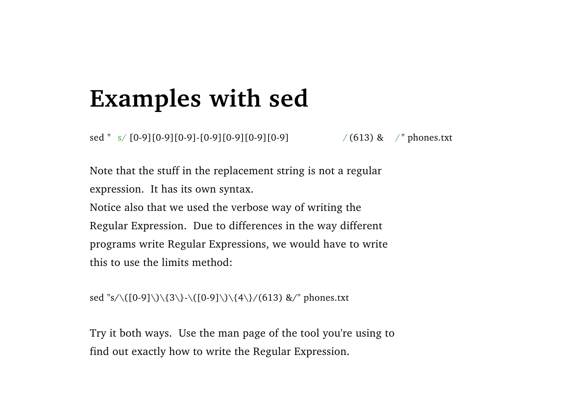sed " s/ [0-9][0-9][0-9]-[0-9][0-9][0-9][0-9] / (613) & / " phones.txt

Note that the stuff in the replacement string is not a regular expression. It has its own syntax. Notice also that we used the verbose way of writing the Regular Expression. Due to differences in the way different programs write Regular Expressions, we would have to write this to use the limits method:

sed "s/\([0-9]\)\{3\}-\([0-9]\)\{4\}/(613) &/" phones.txt

Try it both ways. Use the man page of the tool you're using to find out exactly how to write the Regular Expression.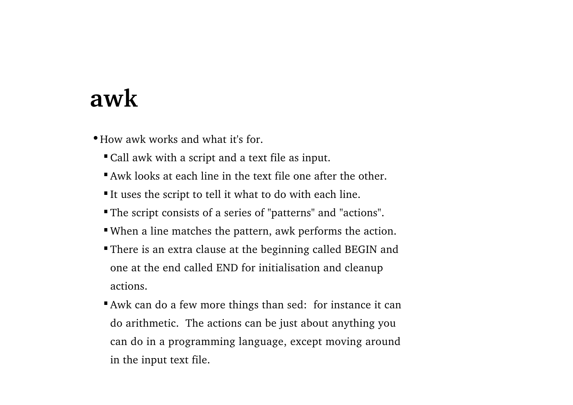#### **awk**

How awk works and what it's for.

- Call awk with a script and a text file as input.
- Awk looks at each line in the text file one after the other.
- It uses the script to tell it what to do with each line.
- The script consists of a series of "patterns" and "actions".
- When a line matches the pattern, awk performs the action.
- There is an extra clause at the beginning called BEGIN and one at the end called END for initialisation and cleanup actions.
- Awk can do a few more things than sed: for instance it can do arithmetic. The actions can be just about anything you can do in a programming language, except moving around in the input text file.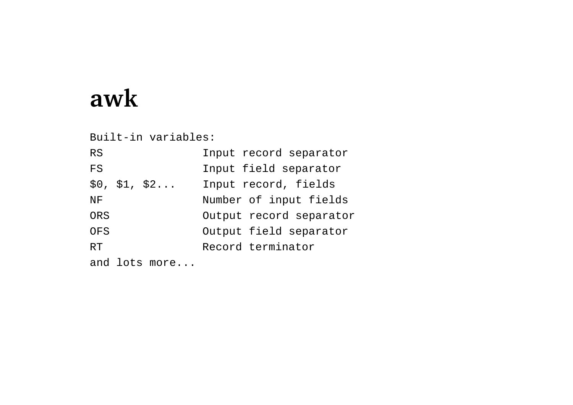## **awk**

Built-in variables:

| <b>RS</b>     | Input record separator  |
|---------------|-------------------------|
| FS            | Input field separator   |
| \$0, \$1, \$2 | Input record, fields    |
| NF            | Number of input fields  |
| ORS           | Output record separator |
| OFS           | Output field separator  |
| RТ            | Record terminator       |
|               |                         |

and lots more...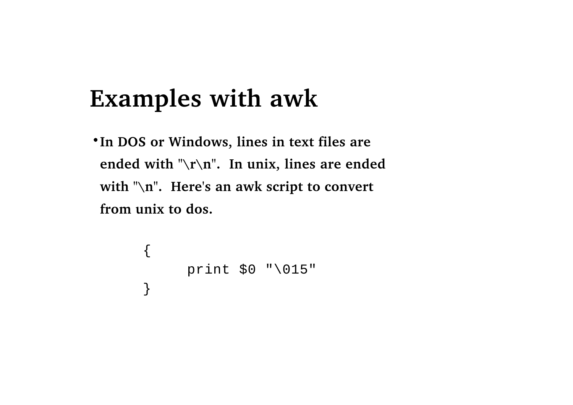## **Examples with awk**

**In DOS or Windows, lines in text files are ended with "\r\n". In unix, lines are ended with "\n". Here's an awk script to convert from unix to dos.**

```
{
   print $0 "\015"
}
```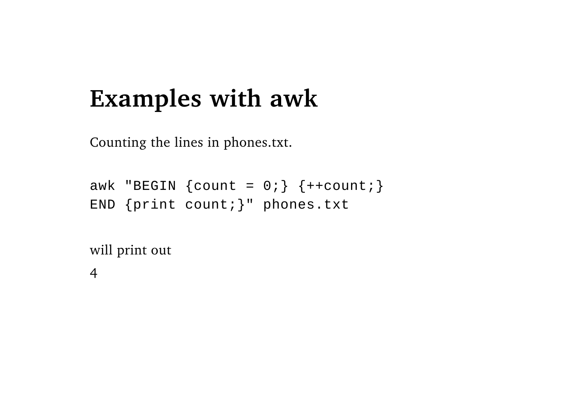## **Examples with awk**

Counting the lines in phones.txt.

```
awk "BEGIN \{count = 0; \} \{++count; \}END {print count;}" phones.txt
```
will print out

4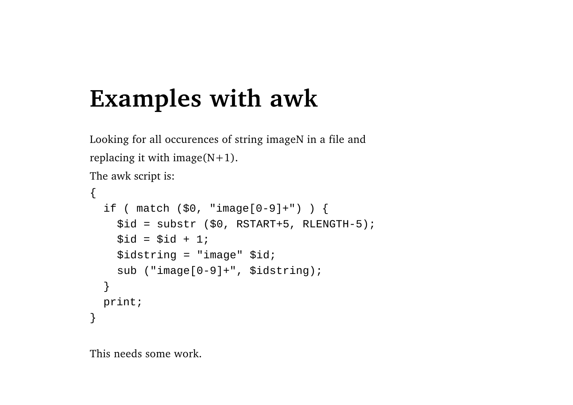## **Examples with awk**

Looking for all occurences of string imageN in a file and replacing it with image( $N+1$ ). The awk script is:

```
{
 if ( match ($0, "image[0-9]+") ) {
    $id = substr ($0, RSTART+5, RLENGTH-5);
    $id = $id + 1;$idstring = "image" $id;
    sub ("image[0-9]+", $idstring);
  }
 print;
}
```
This needs some work.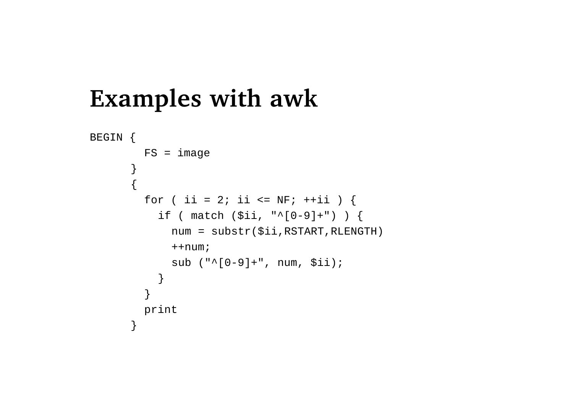```
Examples with awk
```

```
BEGIN {
        FS = image}
      {
        for ( ii = 2; ii <= NF; ++ii ) {
          if ( match ($ii, "^[0-9]+") ) {
             num = substr($ii,RSTART,RLENGTH)
             ++num;sub ("^[0-9]+", num, $ii);
           }
         }
        print
      }
```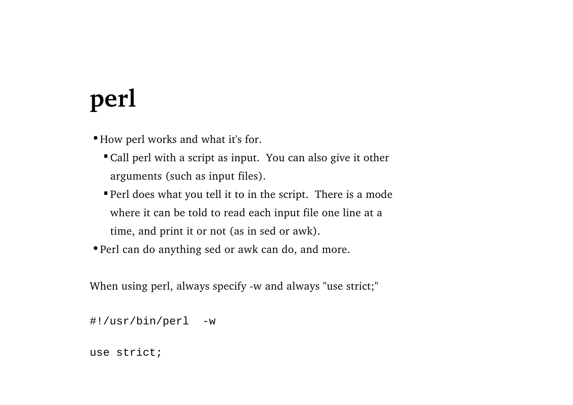## **perl**

How perl works and what it's for.

- Call perl with a script as input. You can also give it other arguments (such as input files).
- Perl does what you tell it to in the script. There is a mode where it can be told to read each input file one line at a time, and print it or not (as in sed or awk).
- Perl can do anything sed or awk can do, and more.

When using perl, always specify -w and always "use strict;"

```
#!/usr/bin/perl -w
```

```
use strict;
```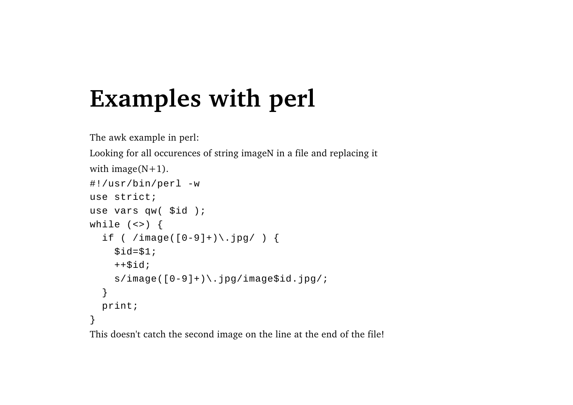## **Examples with perl**

```
The awk example in perl:
Looking for all occurences of string imageN in a file and replacing it
with image(N+1).
#!/usr/bin/perl -w
use strict;use vars qw( $id );
while (\le) {
  if ( /image([0-9]+) \.jpg/ ) {
    $id=$1;++$id;s/image([0-9]+)\.jpg/image$id.jpg/;
  }
  print;
}
```
This doesn't catch the second image on the line at the end of the file!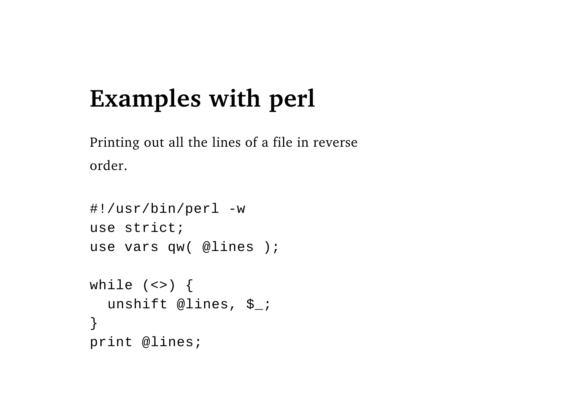## **Examples with perl**

Printing out all the lines of a file in reverse order.

```
#!/usr/bin/perl -w
use strict;use vars qw( @lines );
while (\le) {
  unshift @lines, $_;
}
print @lines;
```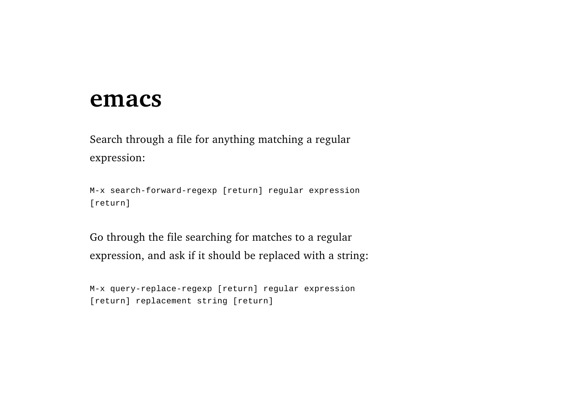#### **emacs**

Search through a file for anything matching a regular expression:

M-x search-forward-regexp [return] regular expression [return]

Go through the file searching for matches to a regular expression, and ask if it should be replaced with a string:

M-x query-replace-regexp [return] regular expression [return] replacement string [return]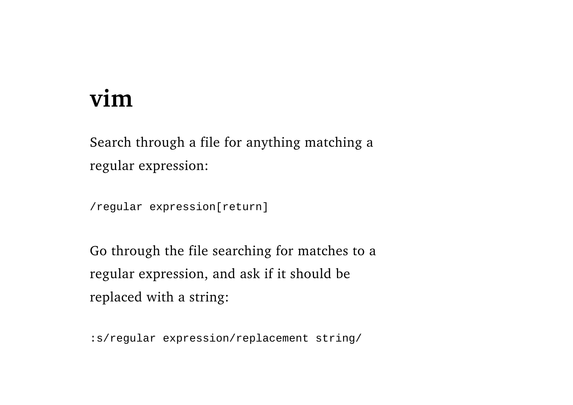## **vim**

Search through a file for anything matching a regular expression:

/regular expression[return]

Go through the file searching for matches to a regular expression, and ask if it should be replaced with a string:

:s/regular expression/replacement string/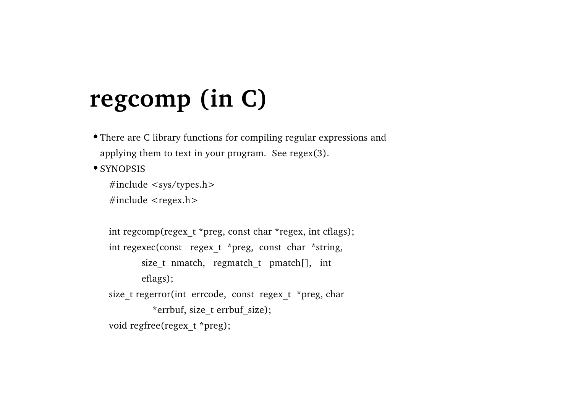## **regcomp (in C)**

There are C library functions for compiling regular expressions and applying them to text in your program. See regex(3).

• SYNOPSIS

```
#include <sys/types.h>
```
#include <regex.h>

```
int regcomp(regex t *preg, const char *regex, int cflags);
int regexec(const regex t *preg, const char *string,
       size t nmatch, regmatch t pmatch[], int
       eflags);
size t regerror(int errcode, const regex t *preg, char
          *errbuf, size t errbuf size);
void regfree(regex_t *preg);
```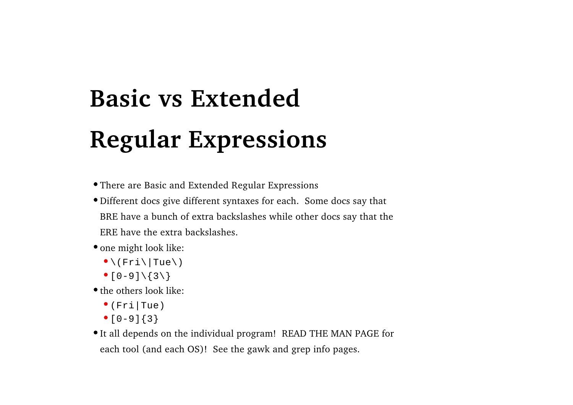# **Basic vs ExtendedRegular Expressions**

There are Basic and Extended Regular Expressions

Different docs give different syntaxes for each. Some docs say that BRE have a bunch of extra backslashes while other docs say that the ERE have the extra backslashes.

• one might look like:

- $\bullet \setminus (Fri\setminus |Tue\setminus)$
- $^{\bullet}$  [0-9] \ {3\}

• the others look like:

- (Fri|Tue)
- $^{\bullet}$  [0-9]{3}

It all depends on the individual program! READ THE MAN PAGE for each tool (and each OS)! See the gawk and grep info pages.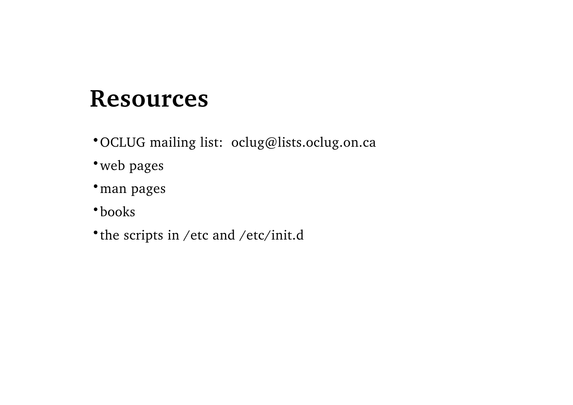## **Resources**

- OCLUG mailing list: oclug@lists.oclug.on.ca
- web pages
- man pages
- books
- the scripts in /etc and /etc/init.d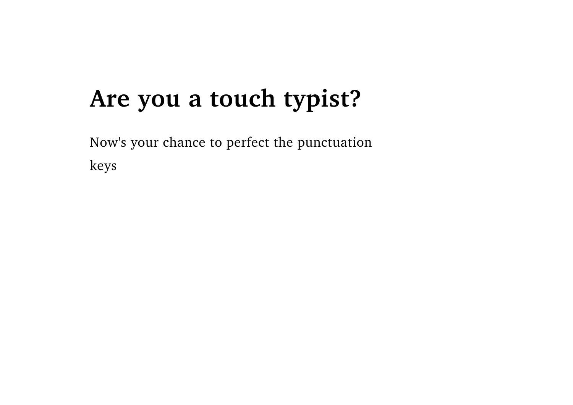## **Are you a touch typist?**

Now's your chance to perfect the punctuation keys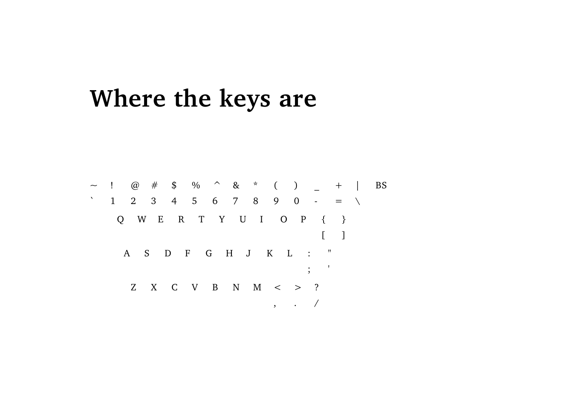## Where the keys are

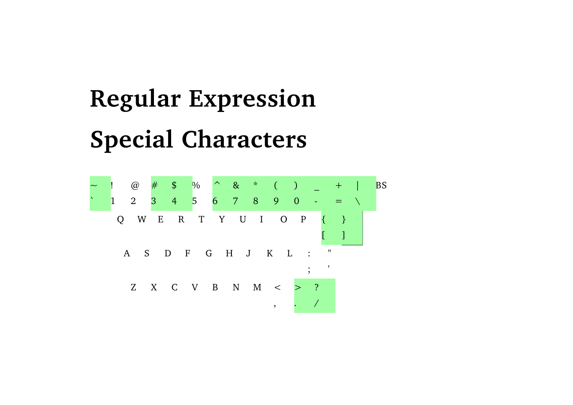# **Regular Expression Special Characters**

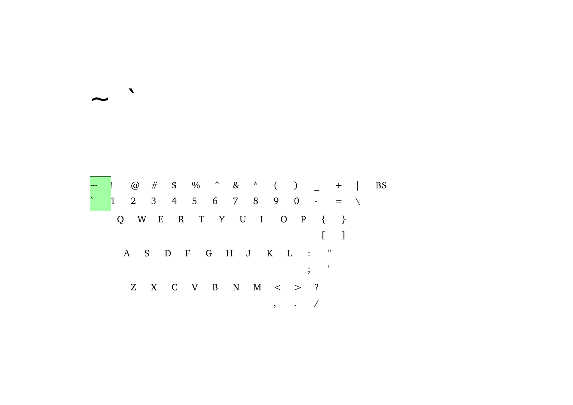

 $\blacksquare$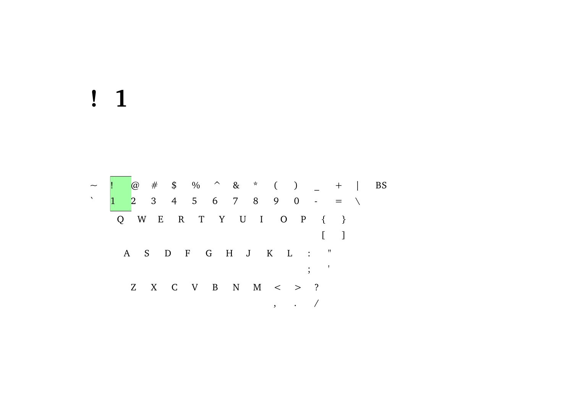## $\frac{1}{2}$

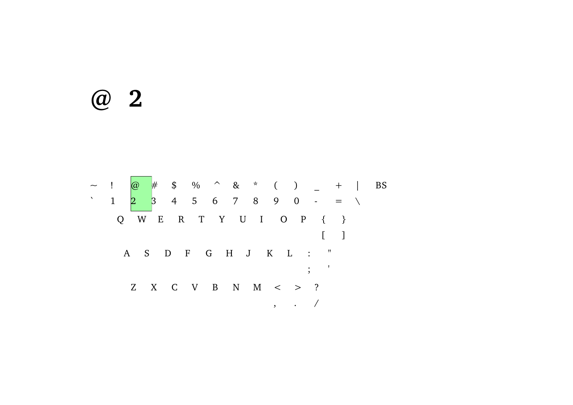## $@$  2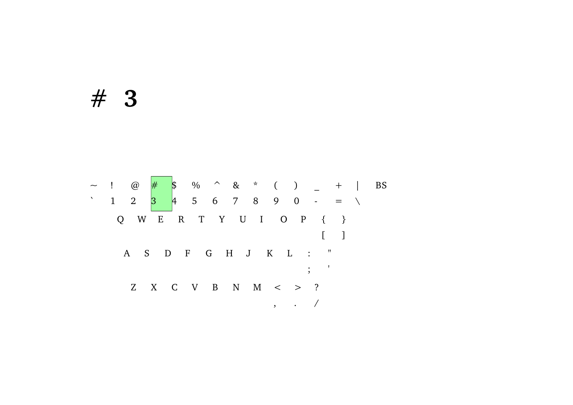## $# 3$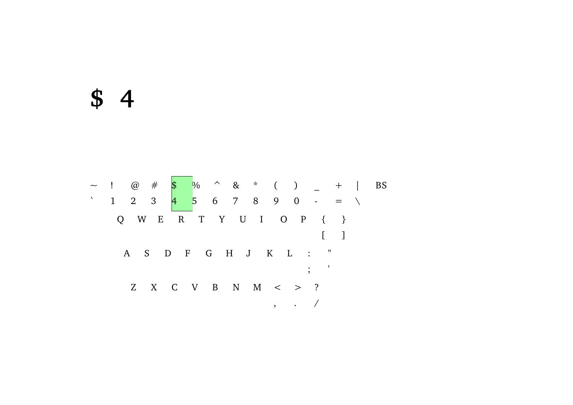### $$4$

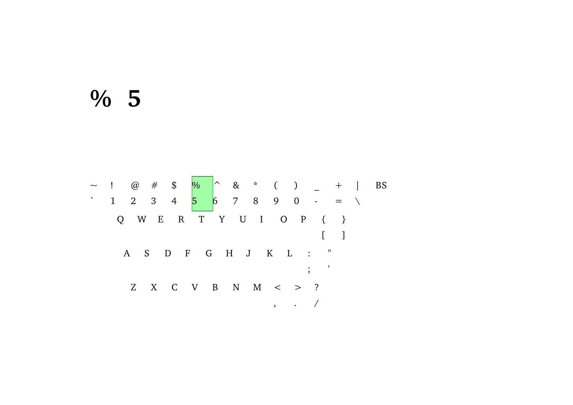#### $% 5$

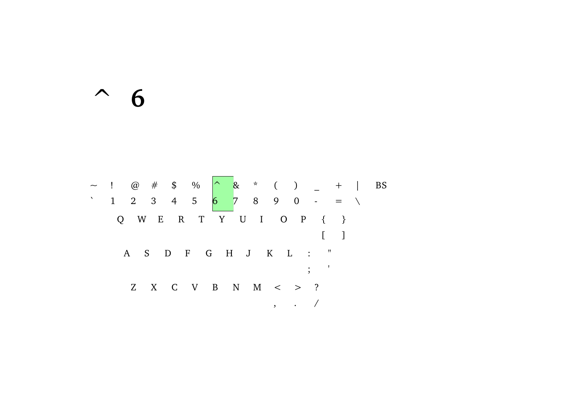$\sim 6$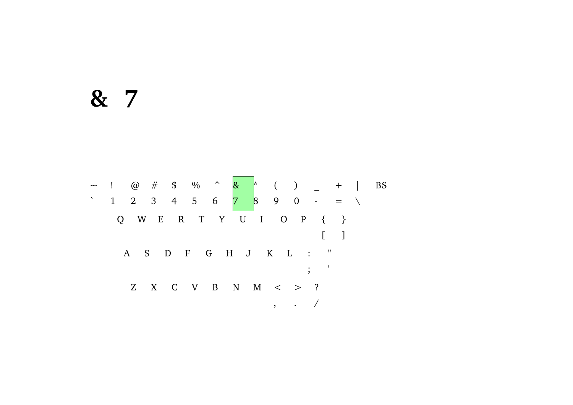#### & 7

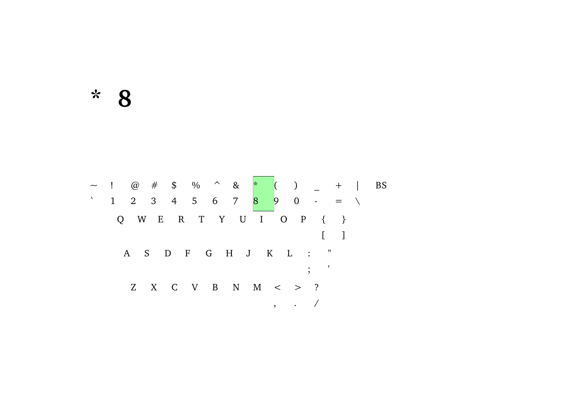$*$  8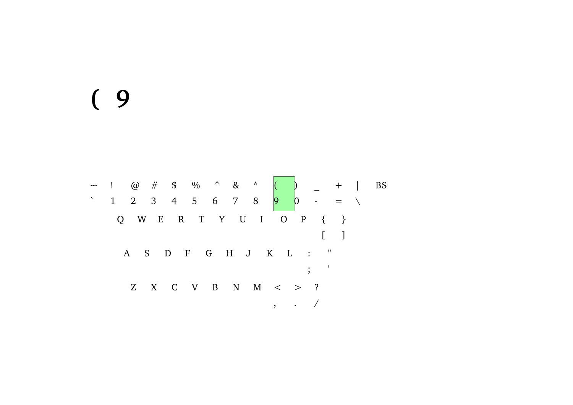## $(9)$

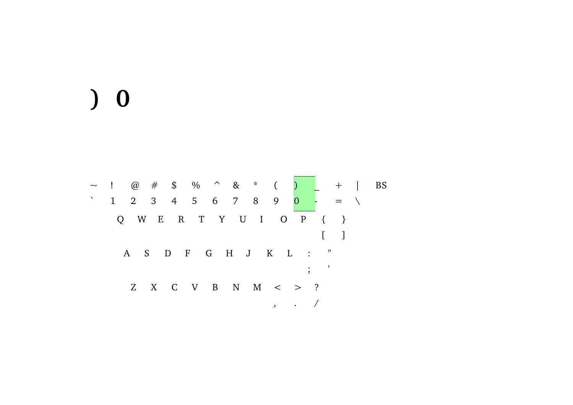## $\begin{pmatrix} 0 \\ 0 \end{pmatrix}$

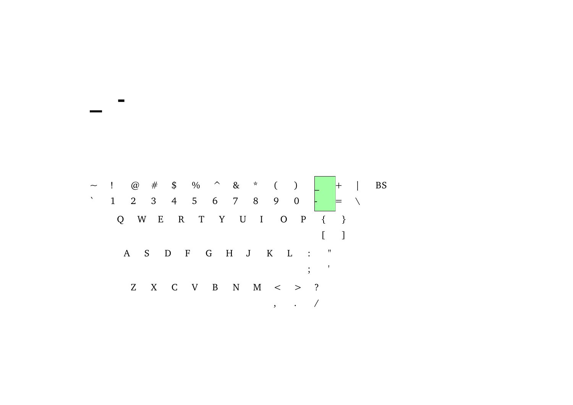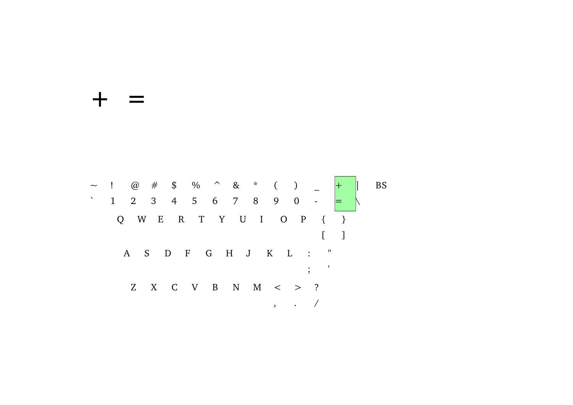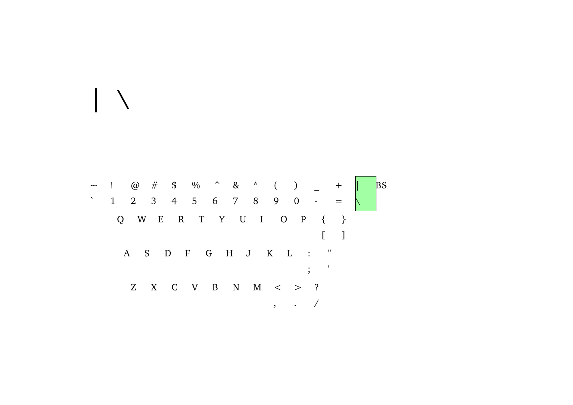

 $\vert \ \ \rangle$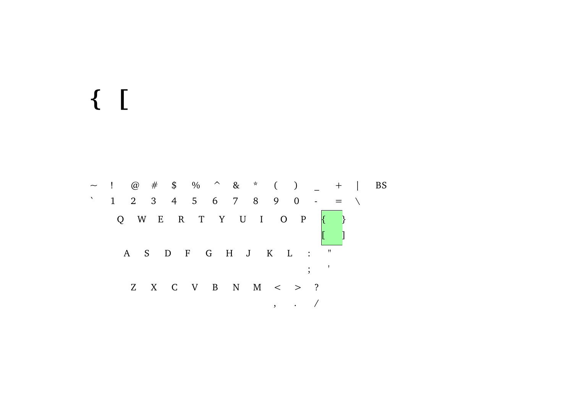# $\{ \begin{array}{c} \end{array}$

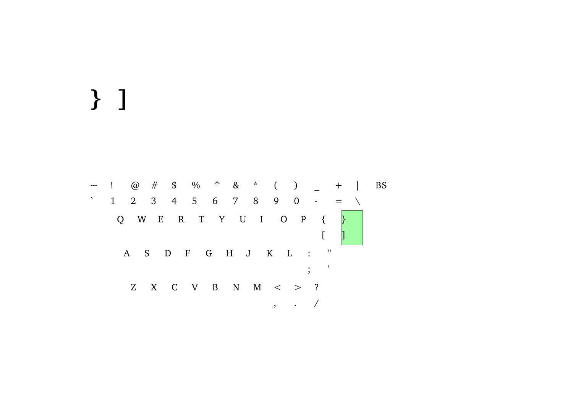# } ]

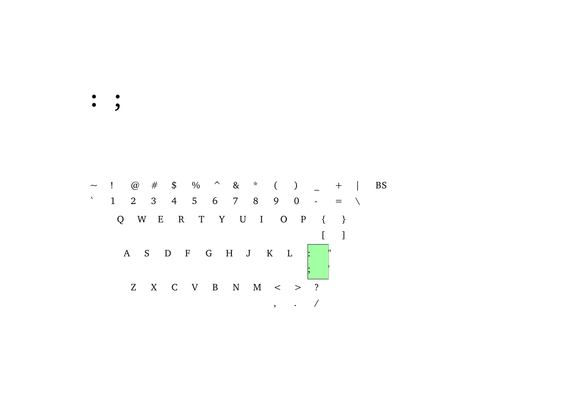$\ddot{\bullet}$  ,

~ ! @ # \$ % ^ & \* ( ) \_ + | BS  $1 2 3 4 5 6 7 8 9 0 - = 1$ Q W E R T Y U I O P { }  $\left[ \begin{array}{cc} 1 & 1 \end{array} \right]$ A S D F G H J K L  $\begin{bmatrix} \cdot & \cdot & \cdot & \cdot \\ \cdot & \cdot & \cdot & \cdot \\ \cdot & \cdot & \cdot & \cdot \end{bmatrix}$ Z X C V B N M  $\lt$  > ?  $\,$  , . /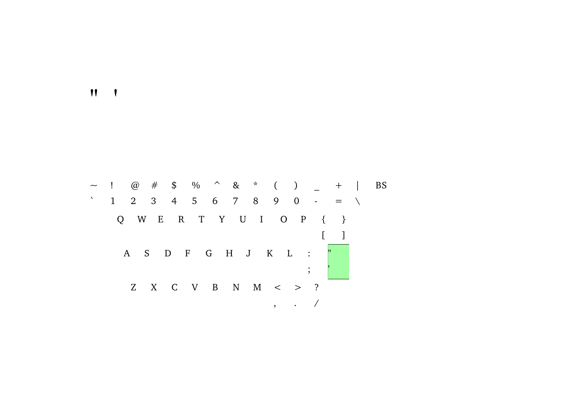$\mathbf{v}$ 

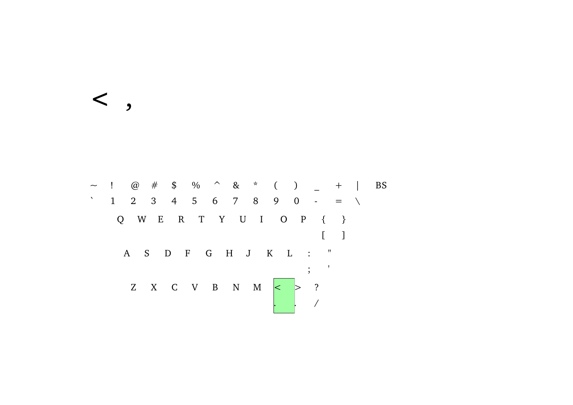$\langle , , , , \rangle$ 

~ ! @ # \$ % ^ & \* ( ) \_ + | BS  $1 2 3 4 5 6 7 8 9 0 - = 1$ Q W E R T Y U I O P { }  $\begin{bmatrix} 1 & 1 \end{bmatrix}$ A S D F G H J K L : "  $\frac{1}{2}$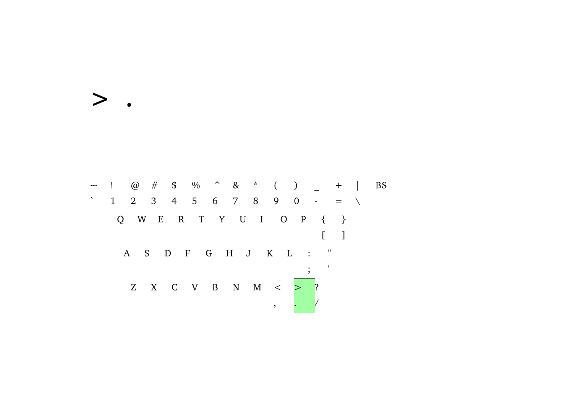~ ! @ # \$ % ^ & \* ( ) \_ + | BS  $1 2 3 4 5 6 7 8 9 0 - = 1$ Q W E R T Y U I O P { }  $\begin{bmatrix} 1 & 1 \\ 1 & 1 \end{bmatrix}$ A S D F G H J K L : "  $\frac{1}{2}$  ;  $\frac{1}{2}$ Z X C V B N M <  $>$  ?  $\overline{\phantom{a}}$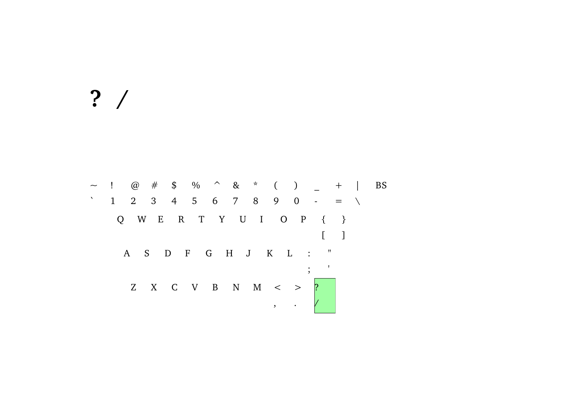# $? /$

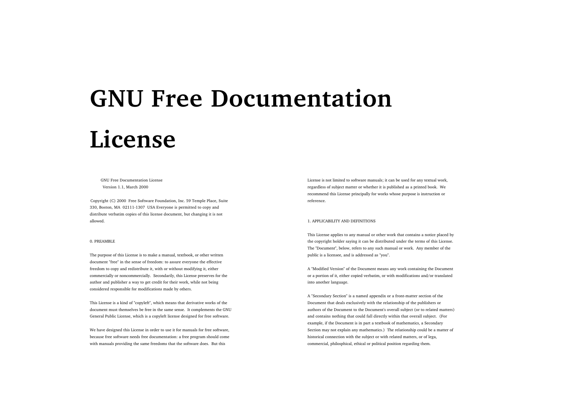# **GNU Free DocumentationLicense**

# GNU Free Documentation LicenseVersion 1.1, March 2000

Copyright (C) 2000 Free Software Foundation, Inc. 59 Temple Place, Suite 330, Boston, MA 02111-1307 USA Everyone is permitted to copy and distribute verbatim copies of this license document, but changing it is not allowed.

# 0. PREAMBLE

The purpose of this License is to make a manual, textbook, or other written document "free" in the sense of freedom: to assure everyone the effective freedom to copy and redistribute it, with or without modifying it, either commercially or noncommercially. Secondarily, this License preserves for the author and publisher a way to get credit for their work, while not being considered responsible for modifications made by others.

This License is a kind of "copyleft", which means that derivative works of the document must themselves be free in the same sense. It complements the GNU General Public License, which is a copyleft license designed for free software.

We have designed this License in order to use it for manuals for free software, because free software needs free documentation: a free program should come with manuals providing the same freedoms that the software does. But this

License is not limited to software manuals; it can be used for any textual work, regardless of subject matter or whether it is published as a printed book. We recommend this License principally for works whose purpose is instruction or reference.

### 1. APPLICABILITY AND DEFINITIONS

This License applies to any manual or other work that contains a notice placed by the copyright holder saying it can be distributed under the terms of this License. The "Document", below, refers to any such manual or work. Any member of the public is a licensee, and is addressed as "you".

A "Modified Version" of the Document means any work containing the Document or a portion of it, either copied verbatim, or with modifications and/or translated into another language.

A "Secondary Section" is a named appendix or a front-matter section of the Document that deals exclusively with the relationship of the publishers or authors of the Document to the Document's overall subject (or to related matters) and contains nothing that could fall directly within that overall subject. (For example, if the Document is in part a textbook of mathematics, a Secondary Section may not explain any mathematics.) The relationship could be a matter of historical connection with the subject or with related matters, or of lega, commercial, philosphical, ethical or political position regarding them.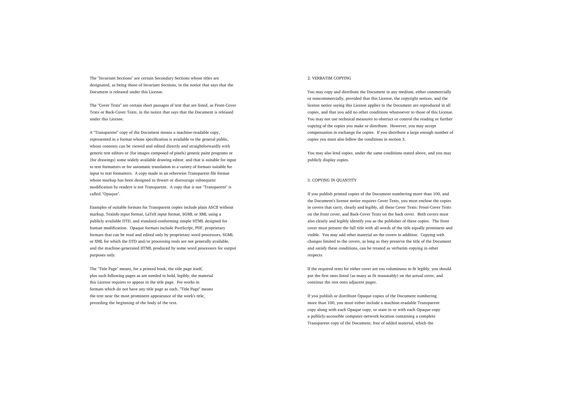The "Invariant Sections" are certain Secondary Sections whose titles are designated, as being those of Invariant Sections, in the notice that says that the Document is released under this License.

The "Cover Texts" are certain short passages of text that are listed, as Front-Cover Texts or Back-Cover Texts, in the notice that says that the Document is released under this License.

A "Transparent" copy of the Document means a machine-readable copy, represented in a format whose specification is available to the general public, whose contents can be viewed and edited directly and straightforwardly with generic text editors or (for images composed of pixels) generic paint programs or (for drawings) some widely available drawing editor, and that is suitable for input to text formatters or for automatic translation to a variety of formats suitable for input to text formatters. A copy made in an otherwise Transparent file format whose markup has been designed to thwart or discourage subsequent modification by readers is not Transparent. A copy that is not "Transparent" is called "Opaque".

Examples of suitable formats for Transparent copies include plain ASCII without markup, Texinfo input format, LaTeX input format, SGML or XML using a publicly available DTD, and standard-conforming simple HTML designed for human modification. Opaque formats include PostScript, PDF, proprietary formats that can be read and edited only by proprietary word processors, SGML or XML for which the DTD and/or processing tools are not generally available, and the machine-generated HTML produced by some word processors for output purposes only.

The "Title Page" means, for a printed book, the title page itself, plus such following pages as are needed to hold, legibly, the material this License requires to appear in the title page. For works in formats which do not have any title page as such, "Title Page" means the text near the most prominent appearance of the work's title, preceding the beginning of the body of the text.

# 2. VERBATIM COPYING

You may copy and distribute the Document in any medium, either commercially or noncommercially, provided that this License, the copyright notices, and the license notice saying this License applies to the Document are reproduced in all copies, and that you add no other conditions whatsoever to those of this License. You may not use technical measures to obstruct or control the reading or further copying of the copies you make or distribute. However, you may accept compensation in exchange for copies. If you distribute a large enough number of copies you must also follow the conditions in section 3.

You may also lend copies, under the same conditions stated above, and you may publicly display copies.

# 3. COPYING IN QUANTITY

If you publish printed copies of the Document numbering more than 100, and the Document's license notice requires Cover Texts, you must enclose the copies in covers that carry, clearly and legibly, all these Cover Texts: Front-Cover Texts on the front cover, and Back-Cover Texts on the back cover. Both covers must also clearly and legibly identify you as the publisher of these copies. The front cover must present the full title with all words of the title equally prominent and visible. You may add other material on the covers in addition. Copying with changes limited to the covers, as long as they preserve the title of the Document and satisfy these conditions, can be treated as verbatim copying in other respects.

If the required texts for either cover are too voluminous to fit legibly, you should put the first ones listed (as many as fit reasonably) on the actual cover, and continue the rest onto adjacent pages.

If you publish or distribute Opaque copies of the Document numbering more than 100, you must either include a machine-readable Transparent copy along with each Opaque copy, or state in or with each Opaque copy a publicly-accessible computer-network location containing a complete Transparent copy of the Document, free of added material, which the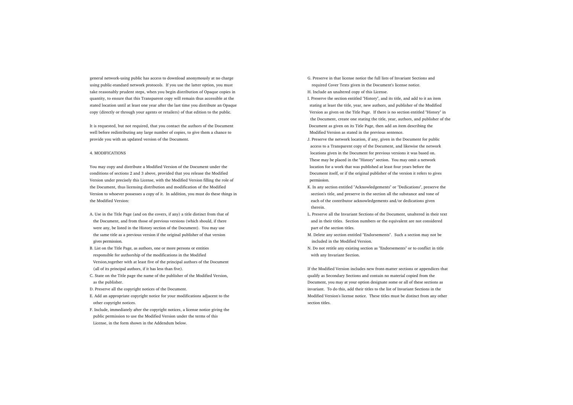general network-using public has access to download anonymously at no charge using public-standard network protocols. If you use the latter option, you must take reasonably prudent steps, when you begin distribution of Opaque copies in quantity, to ensure that this Transparent copy will remain thus accessible at the stated location until at least one year after the last time you distribute an Opaque copy (directly or through your agents or retailers) of that edition to the public.

It is requested, but not required, that you contact the authors of the Document well before redistributing any large number of copies, to give them a chance to provide you with an updated version of the Document.

#### 4. MODIFICATIONS

You may copy and distribute a Modified Version of the Document under the conditions of sections 2 and 3 above, provided that you release the Modified Version under precisely this License, with the Modified Version filling the role of the Document, thus licensing distribution and modification of the Modified Version to whoever possesses a copy of it. In addition, you must do these things in the Modified Version:

- A. Use in the Title Page (and on the covers, if any) a title distinct from that of the Document, and from those of previous versions (which should, if there were any, be listed in the History section of the Document). You may use the same title as a previous version if the original publisher of that version gives permission.
- B. List on the Title Page, as authors, one or more persons or entities responsible for authorship of the modifications in the Modified Version,together with at least five of the principal authors of the Document (all of its principal authors, if it has less than five).
- C. State on the Title page the name of the publisher of the Modified Version, as the publisher.
- D. Preserve all the copyright notices of the Document.
- E. Add an appropriate copyright notice for your modifications adjacent to the other copyright notices.
- F. Include, immediately after the copyright notices, a license notice giving the public permission to use the Modified Version under the terms of this License, in the form shown in the Addendum below.

G. Preserve in that license notice the full lists of Invariant Sections andrequired Cover Texts given in the Document's license notice. H. Include an unaltered copy of this License.

- I. Preserve the section entitled "History", and its title, and add to it an item stating at least the title, year, new authors, and publisher of the Modified Version as given on the Title Page. If there is no section entitled "History" in the Document, create one stating the title, year, authors, and publisher of the Document as given on its Title Page, then add an item describing the Modified Version as stated in the previous sentence.
- J. Preserve the network location, if any, given in the Document for public access to a Transparent copy of the Document, and likewise the network locations given in the Document for previous versions it was based on. These may be placed in the "History" section. You may omit a network location for a work that was published at least four years before the Document itself, or if the original publisher of the version it refers to gives permission.
- K. In any section entitled "Acknowledgements" or "Dedications", preserve the section's title, and preserve in the section all the substance and tone of each of the contributor acknowledgements and/or dedications given therein.
- L. Preserve all the Invariant Sections of the Document, unaltered in their text and in their titles. Section numbers or the equivalent are not considered part of the section titles.
- M. Delete any section entitled "Endorsements". Such a section may not be included in the Modified Version.
- N. Do not retitle any existing section as "Endorsements" or to conflict in title with any Invariant Section.

If the Modified Version includes new front-matter sections or appendices that qualify as Secondary Sections and contain no material copied from the Document, you may at your option designate some or all of these sections as invariant. To do this, add their titles to the list of Invariant Sections in the Modified Version's license notice. These titles must be distinct from any other section titles.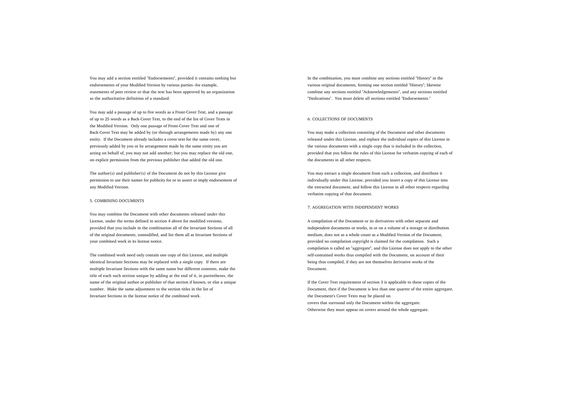You may add a section entitled "Endorsements", provided it contains nothing but endorsements of your Modified Version by various parties--for example, statements of peer review or that the text has been approved by an organization as the authoritative definition of a standard.

You may add a passage of up to five words as a Front-Cover Text, and a passage of up to 25 words as a Back-Cover Text, to the end of the list of Cover Texts in the Modified Version. Only one passage of Front-Cover Text and one of Back-Cover Text may be added by (or through arrangements made by) any one entity. If the Document already includes a cover text for the same cover, previously added by you or by arrangement made by the same entity you are acting on behalf of, you may not add another; but you may replace the old one, on explicit permission from the previous publisher that added the old one.

The author(s) and publisher(s) of the Document do not by this License give permission to use their names for publicity for or to assert or imply endorsement of any Modified Version.

#### 5. COMBINING DOCUMENTS

You may combine the Document with other documents released under this License, under the terms defined in section 4 above for modified versions, provided that you include in the combination all of the Invariant Sections of all of the original documents, unmodified, and list them all as Invariant Sections of your combined work in its license notice.

The combined work need only contain one copy of this License, and multiple identical Invariant Sections may be replaced with a single copy. If there are multiple Invariant Sections with the same name but different contents, make the title of each such section unique by adding at the end of it, in parentheses, the name of the original author or publisher of that section if known, or else a unique number. Make the same adjustment to the section titles in the list of Invariant Sections in the license notice of the combined work.

In the combination, you must combine any sections entitled "History" in the various original documents, forming one section entitled "History"; likewise combine any sections entitled "Acknowledgements", and any sections entitled "Dedications". You must delete all sections entitled "Endorsements."

# 6. COLLECTIONS OF DOCUMENTS

You may make a collection consisting of the Document and other documents released under this License, and replace the individual copies of this License in the various documents with a single copy that is included in the collection, provided that you follow the rules of this License for verbatim copying of each of the documents in all other respects.

You may extract a single document from such a collection, and distribute it individually under this License, provided you insert a copy of this License into the extracted document, and follow this License in all other respects regarding verbatim copying of that document.

#### 7. AGGREGATION WITH INDEPENDENT WORKS

A compilation of the Document or its derivatives with other separate and independent documents or works, in or on a volume of a storage or distribution medium, does not as a whole count as a Modified Version of the Document, provided no compilation copyright is claimed for the compilation. Such a compilation is called an "aggregate", and this License does not apply to the other self-contained works thus compiled with the Document, on account of their being thus compiled, if they are not themselves derivative works of the Document.

If the Cover Text requirement of section 3 is applicable to these copies of the Document, then if the Document is less than one quarter of the entire aggregate, the Document's Cover Texts may be placed on covers that surround only the Document within the aggregate. Otherwise they must appear on covers around the whole aggregate.